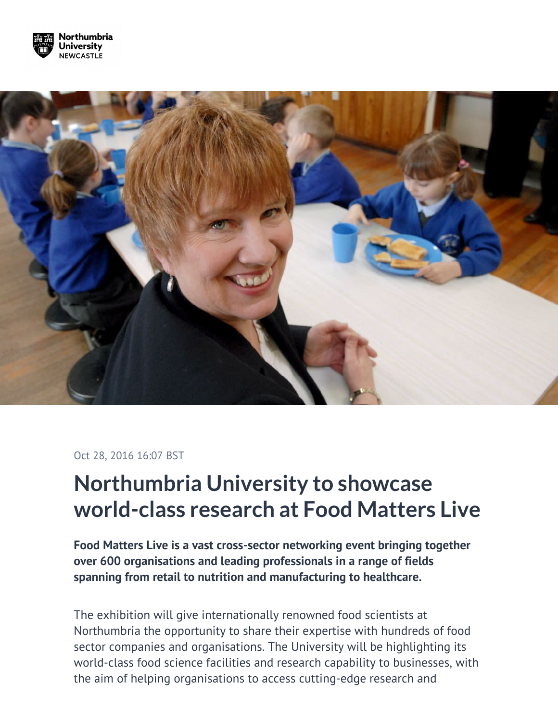



## Oct 28, 2016 16:07 BST

## **Northumbria University to showcase world-class research at Food Matters Live**

**Food Matters Live is a vast cross-sector networking event bringing together over 600 organisations and leading professionals in a range of fields spanning from retail to nutrition and manufacturing to healthcare.**

The exhibition will give internationally renowned food scientists at Northumbria the opportunity to share their expertise with hundreds of food sector companies and organisations. The University will be highlighting its world-class food science facilities and research capability to businesses, with the aim of helping organisations to access cutting-edge research and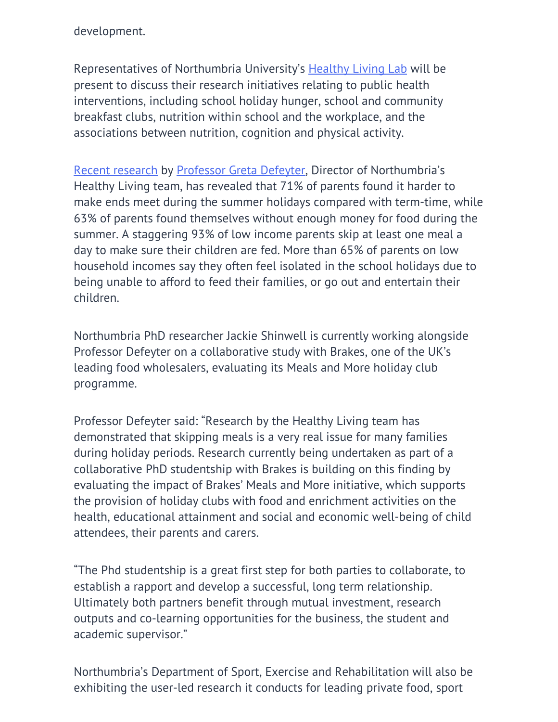development.

Representatives of Northumbria University's [Healthy Living Lab](http://healthylivinguk.org/) will be present to discuss their research initiatives relating to public health interventions, including school holiday hunger, school and community breakfast clubs, nutrition within school and the workplace, and the associations between nutrition, cognition and physical activity.

[Recent research](https://www.northumbria.ac.uk/about-us/news-events/news/2015/07/research-reveals-impact-of-the-school-holidays-on-struggling-families/) by [Professor Greta Defeyter](https://www.northumbria.ac.uk/about-us/our-staff/d/margaret-anne-greta-defeyter/), Director of Northumbria's Healthy Living team, has revealed that 71% of parents found it harder to make ends meet during the summer holidays compared with term-time, while 63% of parents found themselves without enough money for food during the summer. A staggering 93% of low income parents skip at least one meal a day to make sure their children are fed. More than 65% of parents on low household incomes say they often feel isolated in the school holidays due to being unable to afford to feed their families, or go out and entertain their children.

Northumbria PhD researcher Jackie Shinwell is currently working alongside Professor Defeyter on a collaborative study with Brakes, one of the UK's leading food wholesalers, evaluating its Meals and More holiday club programme.

Professor Defeyter said: "Research by the Healthy Living team has demonstrated that skipping meals is a very real issue for many families during holiday periods. Research currently being undertaken as part of a collaborative PhD studentship with Brakes is building on this finding by evaluating the impact of Brakes' Meals and More initiative, which supports the provision of holiday clubs with food and enrichment activities on the health, educational attainment and social and economic well-being of child attendees, their parents and carers.

"The Phd studentship is a great first step for both parties to collaborate, to establish a rapport and develop a successful, long term relationship. Ultimately both partners benefit through mutual investment, research outputs and co-learning opportunities for the business, the student and academic supervisor."

Northumbria's Department of Sport, Exercise and Rehabilitation will also be exhibiting the user-led research it conducts for leading private food, sport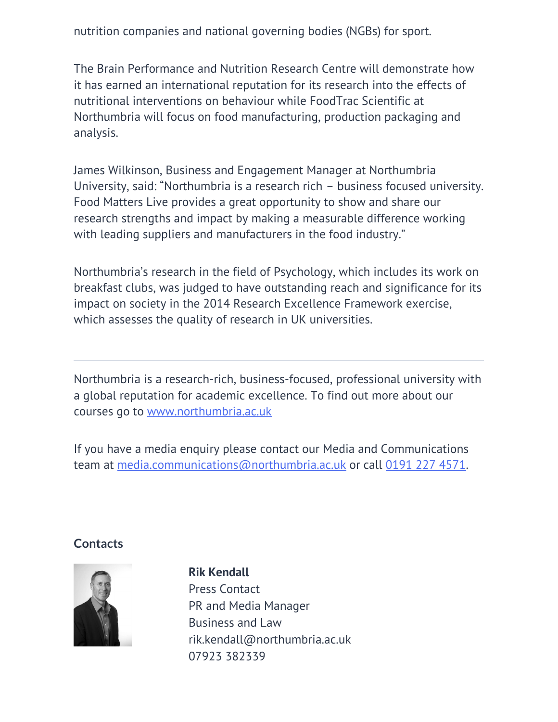nutrition companies and national governing bodies (NGBs) for sport.

The Brain Performance and Nutrition Research Centre will demonstrate how it has earned an international reputation for its research into the effects of nutritional interventions on behaviour while FoodTrac Scientific at Northumbria will focus on food manufacturing, production packaging and analysis.

James Wilkinson, Business and Engagement Manager at Northumbria University, said: "Northumbria is a research rich – business focused university. Food Matters Live provides a great opportunity to show and share our research strengths and impact by making a measurable difference working with leading suppliers and manufacturers in the food industry."

Northumbria's research in the field of Psychology, which includes its work on breakfast clubs, was judged to have outstanding reach and significance for its impact on society in the 2014 Research Excellence Framework exercise, which assesses the quality of research in UK universities.

Northumbria is a research-rich, business-focused, professional university with a global reputation for academic excellence. To find out more about our courses go to [www.northumbria.ac.uk](http://www.northumbria.ac.uk/)

If you have a media enquiry please contact our Media and Communications team at [media.communications@northumbria.ac.uk](mailto:media.communications@northumbria.ac.uk) or call 0191 227 4571.

## **Contacts**



## **Rik Kendall**

Press Contact PR and Media Manager Business and Law [rik.kendall@northumbria.ac.uk](mailto:rik.kendall@northumbria.ac.uk) [07923 382339](tel:07923 382339)